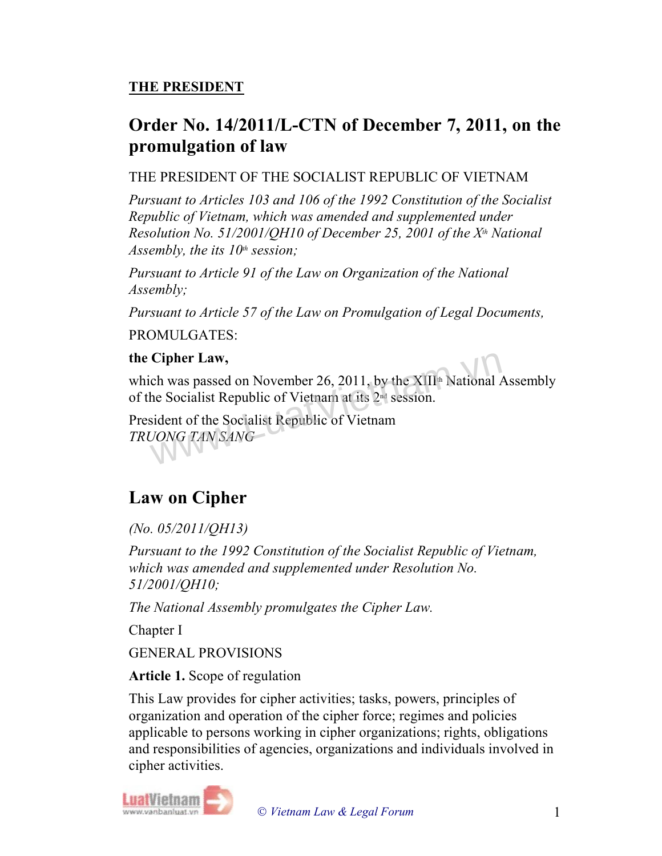## THE PRESIDENT

## Order No. 14/2011/L-CTN of December 7, 2011, on the promulgation of law

## THE PRESIDENT OF THE SOCIALIST REPUBLIC OF VIETNAM

Pursuant to Articles 103 and 106 of the 1992 Constitution of the Socialist Republic of Vietnam, which was amended and supplemented under Resolution No. 51/2001/QH10 of December 25, 2001 of the  $X<sup>th</sup>$  National Assembly, the its  $10<sup>th</sup>$  session;

Pursuant to Article 91 of the Law on Organization of the National Assembly;

Pursuant to Article 57 of the Law on Promulgation of Legal Documents,

PROMULGATES:

### the Cipher Law,

which was passed on November 26, 2011, by the  $XIII^*$  National Assembly of the Socialist Republic of Vietnam at its 2nd session. Cipher Law,<br>ch was passed on November 26, 2011, by the XIII<sup>th</sup> National A<br>he Socialist Republic of Vietnam at its 2<sup>nd</sup> session.<br>sident of the Socialist Republic of Vietnam<br>JONG TAN SANG

President of the Socialist Republic of Vietnam TRUONG TAN SANG

# Law on Cipher

## (No. 05/2011/QH13)

Pursuant to the 1992 Constitution of the Socialist Republic of Vietnam, which was amended and supplemented under Resolution No. 51/2001/QH10;

The National Assembly promulgates the Cipher Law.

Chapter I

GENERAL PROVISIONS

### Article 1. Scope of regulation

This Law provides for cipher activities; tasks, powers, principles of organization and operation of the cipher force; regimes and policies applicable to persons working in cipher organizations; rights, obligations and responsibilities of agencies, organizations and individuals involved in cipher activities.

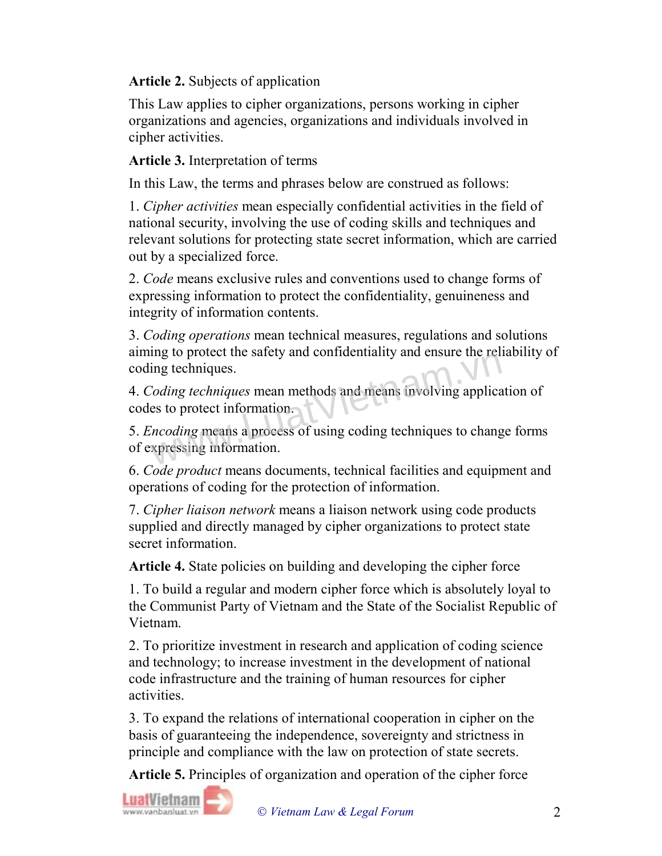## Article 2. Subjects of application

This Law applies to cipher organizations, persons working in cipher organizations and agencies, organizations and individuals involved in cipher activities.

#### Article 3. Interpretation of terms

In this Law, the terms and phrases below are construed as follows:

1. Cipher activities mean especially confidential activities in the field of national security, involving the use of coding skills and techniques and relevant solutions for protecting state secret information, which are carried out by a specialized force.

2. Code means exclusive rules and conventions used to change forms of expressing information to protect the confidentiality, genuineness and integrity of information contents.

3. Coding operations mean technical measures, regulations and solutions aiming to protect the safety and confidentiality and ensure the reliability of coding techniques.

4. Coding techniques mean methods and means involving application of codes to protect information. Ing to protect the safety and confidentiality and clistic the fer-<br>ling techniques.<br>Coding techniques mean methods and means involving applicares to protect information.<br>Containing means a process of using coding technique

5. Encoding means a process of using coding techniques to change forms of expressing information.

6. Code product means documents, technical facilities and equipment and operations of coding for the protection of information.

7. Cipher liaison network means a liaison network using code products supplied and directly managed by cipher organizations to protect state secret information.

Article 4. State policies on building and developing the cipher force

1. To build a regular and modern cipher force which is absolutely loyal to the Communist Party of Vietnam and the State of the Socialist Republic of Vietnam.

2. To prioritize investment in research and application of coding science and technology; to increase investment in the development of national code infrastructure and the training of human resources for cipher activities.

3. To expand the relations of international cooperation in cipher on the basis of guaranteeing the independence, sovereignty and strictness in principle and compliance with the law on protection of state secrets.

Article 5. Principles of organization and operation of the cipher force

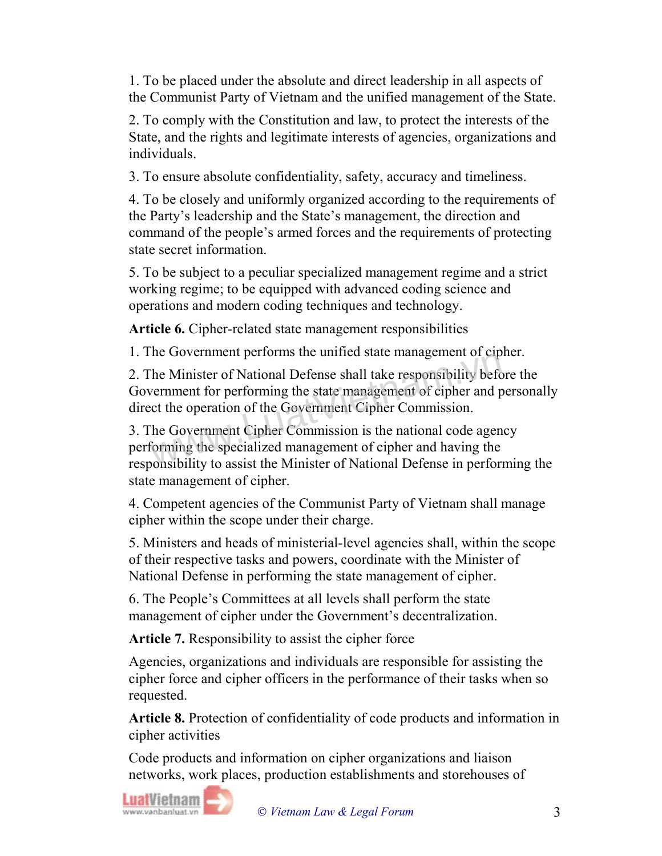1. To be placed under the absolute and direct leadership in all aspects of the Communist Party of Vietnam and the unified management of the State.

2. To comply with the Constitution and law, to protect the interests of the State, and the rights and legitimate interests of agencies, organizations and individuals.

3. To ensure absolute confidentiality, safety, accuracy and timeliness.

4. To be closely and uniformly organized according to the requirements of the Party's leadership and the State's management, the direction and command of the people's armed forces and the requirements of protecting state secret information.

5. To be subject to a peculiar specialized management regime and a strict working regime; to be equipped with advanced coding science and operations and modern coding techniques and technology.

Article 6. Cipher-related state management responsibilities

1. The Government performs the unified state management of cipher.

2. The Minister of National Defense shall take responsibility before the Government for performing the state management of cipher and personally direct the operation of the Government Cipher Commission. The Minister of National Defense shall take responsibility beforement for performing the state management of cipher and p<br>cernment for performing the state management of cipher and p<br>cet the operation of the Government Cip

3. The Government Cipher Commission is the national code agency performing the specialized management of cipher and having the responsibility to assist the Minister of National Defense in performing the state management of cipher.

4. Competent agencies of the Communist Party of Vietnam shall manage cipher within the scope under their charge.

5. Ministers and heads of ministerial-level agencies shall, within the scope of their respective tasks and powers, coordinate with the Minister of National Defense in performing the state management of cipher.

6. The People's Committees at all levels shall perform the state management of cipher under the Government's decentralization.

Article 7. Responsibility to assist the cipher force

Agencies, organizations and individuals are responsible for assisting the cipher force and cipher officers in the performance of their tasks when so requested.

Article 8. Protection of confidentiality of code products and information in cipher activities

Code products and information on cipher organizations and liaison networks, work places, production establishments and storehouses of

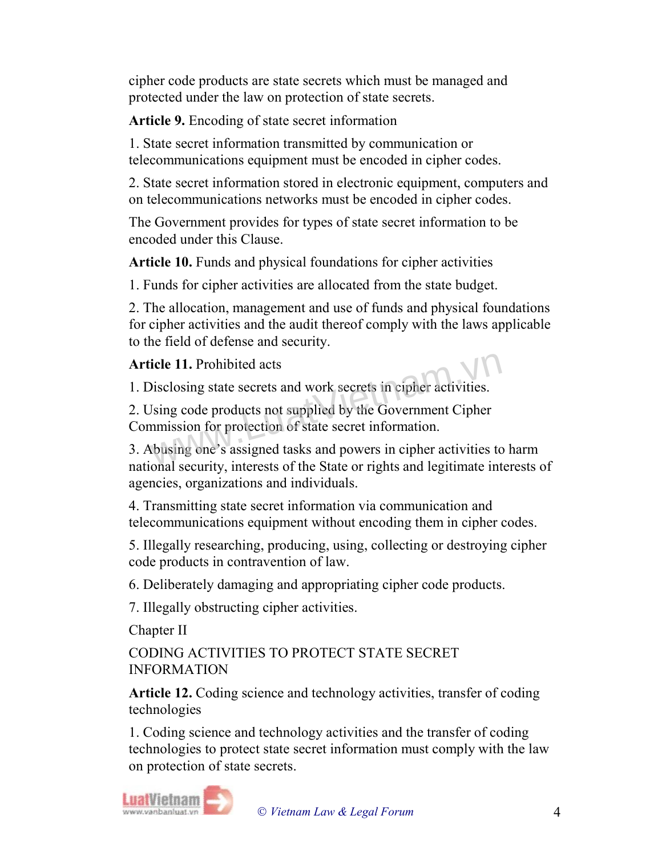cipher code products are state secrets which must be managed and protected under the law on protection of state secrets.

Article 9. Encoding of state secret information

1. State secret information transmitted by communication or telecommunications equipment must be encoded in cipher codes.

2. State secret information stored in electronic equipment, computers and on telecommunications networks must be encoded in cipher codes.

The Government provides for types of state secret information to be encoded under this Clause.

Article 10. Funds and physical foundations for cipher activities

1. Funds for cipher activities are allocated from the state budget.

2. The allocation, management and use of funds and physical foundations for cipher activities and the audit thereof comply with the laws applicable to the field of defense and security.

Article 11. Prohibited acts



1. Disclosing state secrets and work secrets in cipher activities.

2. Using code products not supplied by the Government Cipher Commission for protection of state secret information. icle 11. Prohibited acts<br>Disclosing state secrets and work secrets in cipher activities.<br>Using code products not supplied by the Government Cipher<br>memission for protection of state secret information.<br>Abusing one's assigne

3. Abusing one's assigned tasks and powers in cipher activities to harm national security, interests of the State or rights and legitimate interests of agencies, organizations and individuals.

4. Transmitting state secret information via communication and telecommunications equipment without encoding them in cipher codes.

5. Illegally researching, producing, using, collecting or destroying cipher code products in contravention of law.

6. Deliberately damaging and appropriating cipher code products.

7. Illegally obstructing cipher activities.

Chapter II

CODING ACTIVITIES TO PROTECT STATE SECRET INFORMATION

Article 12. Coding science and technology activities, transfer of coding technologies

1. Coding science and technology activities and the transfer of coding technologies to protect state secret information must comply with the law on protection of state secrets.

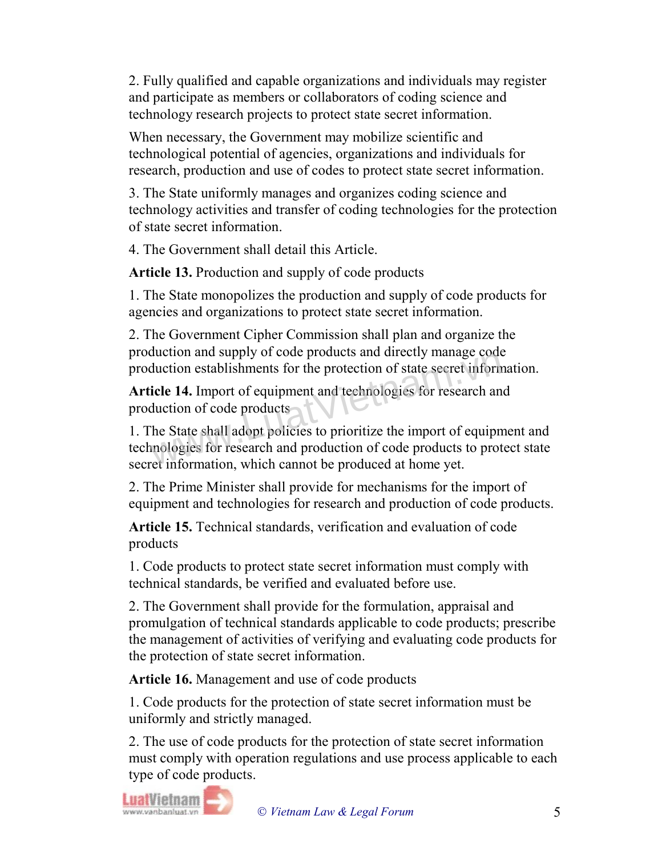2. Fully qualified and capable organizations and individuals may register and participate as members or collaborators of coding science and technology research projects to protect state secret information.

When necessary, the Government may mobilize scientific and technological potential of agencies, organizations and individuals for research, production and use of codes to protect state secret information.

3. The State uniformly manages and organizes coding science and technology activities and transfer of coding technologies for the protection of state secret information.

4. The Government shall detail this Article.

Article 13. Production and supply of code products

1. The State monopolizes the production and supply of code products for agencies and organizations to protect state secret information.

2. The Government Cipher Commission shall plan and organize the production and supply of code products and directly manage code production establishments for the protection of state secret information.

Article 14. Import of equipment and technologies for research and production of code products

1. The State shall adopt policies to prioritize the import of equipment and technologies for research and production of code products to protect state secret information, which cannot be produced at home yet. Exercise and directly manage conduction and suppry of code products and directly manage code<br>duction establishments for the protection of state secret inform<br>icle 14. Import of equipment and technologies for research and<br>d

2. The Prime Minister shall provide for mechanisms for the import of equipment and technologies for research and production of code products.

Article 15. Technical standards, verification and evaluation of code products

1. Code products to protect state secret information must comply with technical standards, be verified and evaluated before use.

2. The Government shall provide for the formulation, appraisal and promulgation of technical standards applicable to code products; prescribe the management of activities of verifying and evaluating code products for the protection of state secret information.

Article 16. Management and use of code products

1. Code products for the protection of state secret information must be uniformly and strictly managed.

2. The use of code products for the protection of state secret information must comply with operation regulations and use process applicable to each type of code products.

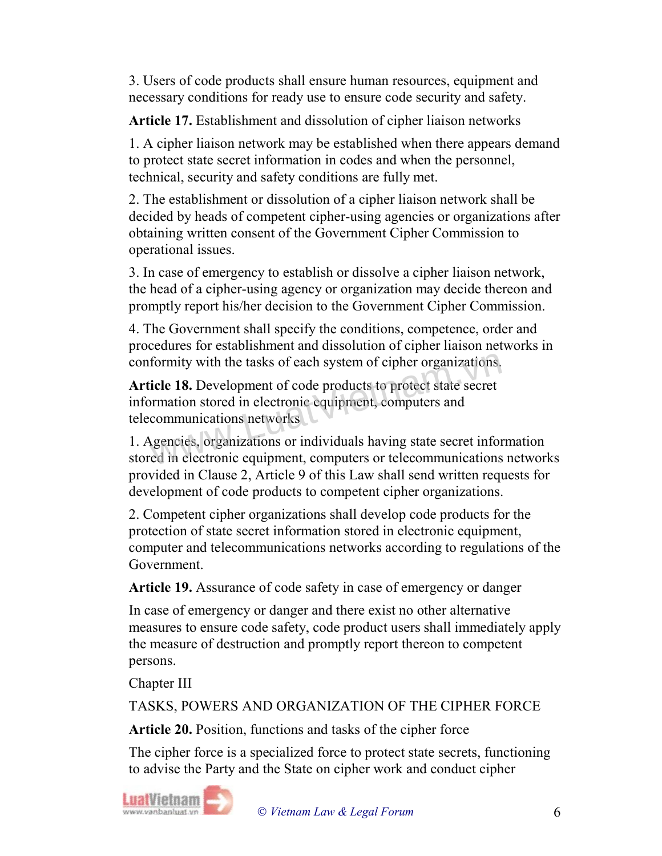3. Users of code products shall ensure human resources, equipment and necessary conditions for ready use to ensure code security and safety.

Article 17. Establishment and dissolution of cipher liaison networks

1. A cipher liaison network may be established when there appears demand to protect state secret information in codes and when the personnel, technical, security and safety conditions are fully met.

2. The establishment or dissolution of a cipher liaison network shall be decided by heads of competent cipher-using agencies or organizations after obtaining written consent of the Government Cipher Commission to operational issues.

3. In case of emergency to establish or dissolve a cipher liaison network, the head of a cipher-using agency or organization may decide thereon and promptly report his/her decision to the Government Cipher Commission.

4. The Government shall specify the conditions, competence, order and procedures for establishment and dissolution of cipher liaison networks in conformity with the tasks of each system of cipher organizations.

Article 18. Development of code products to protect state secret information stored in electronic equipment, computers and telecommunications networks formity with the tasks of each system of cipher organizations.<br> **icle 18.** Development of code products to protect state secret<br>
rmation stored in electronic equipment, computers and<br>
communications networks<br>
sencies, orga

1. Agencies, organizations or individuals having state secret information stored in electronic equipment, computers or telecommunications networks provided in Clause 2, Article 9 of this Law shall send written requests for development of code products to competent cipher organizations.

2. Competent cipher organizations shall develop code products for the protection of state secret information stored in electronic equipment, computer and telecommunications networks according to regulations of the Government.

Article 19. Assurance of code safety in case of emergency or danger

In case of emergency or danger and there exist no other alternative measures to ensure code safety, code product users shall immediately apply the measure of destruction and promptly report thereon to competent persons.

Chapter III

TASKS, POWERS AND ORGANIZATION OF THE CIPHER FORCE

Article 20. Position, functions and tasks of the cipher force

The cipher force is a specialized force to protect state secrets, functioning to advise the Party and the State on cipher work and conduct cipher

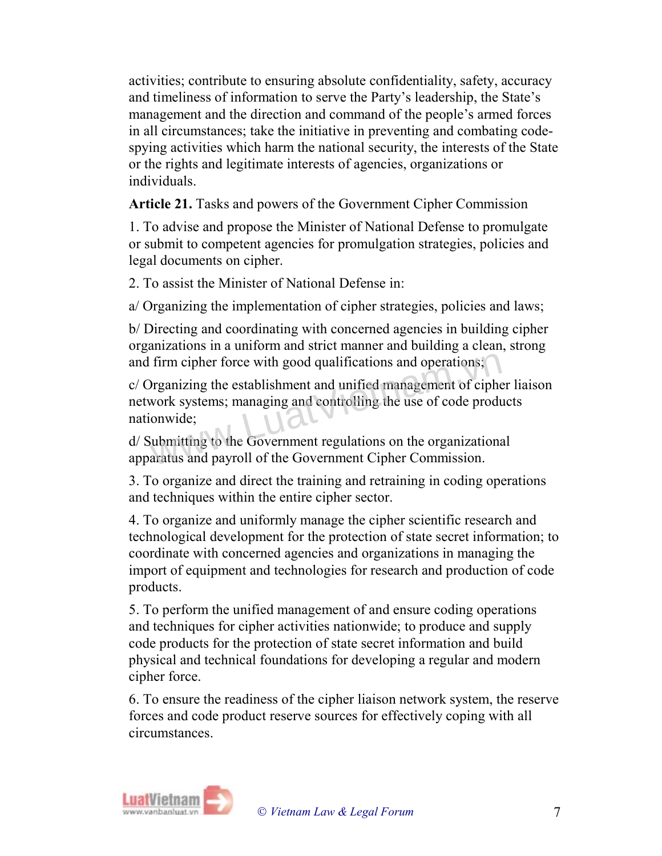activities; contribute to ensuring absolute confidentiality, safety, accuracy and timeliness of information to serve the Party's leadership, the State's management and the direction and command of the people's armed forces in all circumstances; take the initiative in preventing and combating codespying activities which harm the national security, the interests of the State or the rights and legitimate interests of agencies, organizations or individuals.

Article 21. Tasks and powers of the Government Cipher Commission

1. To advise and propose the Minister of National Defense to promulgate or submit to competent agencies for promulgation strategies, policies and legal documents on cipher.

2. To assist the Minister of National Defense in:

a/ Organizing the implementation of cipher strategies, policies and laws;

b/ Directing and coordinating with concerned agencies in building cipher organizations in a uniform and strict manner and building a clean, strong and firm cipher force with good qualifications and operations;

c/ Organizing the establishment and unified management of cipher liaison network systems; managing and controlling the use of code products nationwide; firm cipher force with good qualifications and operations;<br>Drganizing the establishment and unified management of ciphe<br>work systems; managing and controlling the use of code produ<br>onwide;<br>ubmitting to the Government regul

d/ Submitting to the Government regulations on the organizational apparatus and payroll of the Government Cipher Commission.

3. To organize and direct the training and retraining in coding operations and techniques within the entire cipher sector.

4. To organize and uniformly manage the cipher scientific research and technological development for the protection of state secret information; to coordinate with concerned agencies and organizations in managing the import of equipment and technologies for research and production of code products.

5. To perform the unified management of and ensure coding operations and techniques for cipher activities nationwide; to produce and supply code products for the protection of state secret information and build physical and technical foundations for developing a regular and modern cipher force.

6. To ensure the readiness of the cipher liaison network system, the reserve forces and code product reserve sources for effectively coping with all circumstances.

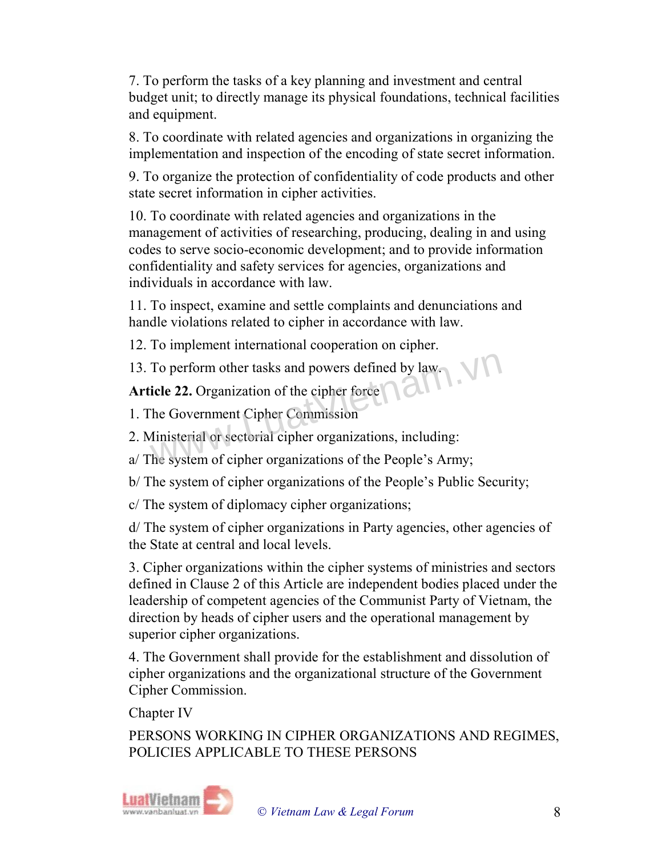7. To perform the tasks of a key planning and investment and central budget unit; to directly manage its physical foundations, technical facilities and equipment.

8. To coordinate with related agencies and organizations in organizing the implementation and inspection of the encoding of state secret information.

9. To organize the protection of confidentiality of code products and other state secret information in cipher activities.

10. To coordinate with related agencies and organizations in the management of activities of researching, producing, dealing in and using codes to serve socio-economic development; and to provide information confidentiality and safety services for agencies, organizations and individuals in accordance with law.

11. To inspect, examine and settle complaints and denunciations and handle violations related to cipher in accordance with law.

12. To implement international cooperation on cipher.

13. To perform other tasks and powers defined by law. To perform other tasks and powers defined by law.<br>
icle 22. Organization of the cipher force<br>
The Government Cipher Commission<br>
Ministerial or sectorial cipher organizations, including:<br>
The system of cipher organizations

Article 22. Organization of the cipher force

- 1. The Government Cipher Commission
- 2. Ministerial or sectorial cipher organizations, including:
- a/ The system of cipher organizations of the People's Army;
- b/ The system of cipher organizations of the People's Public Security;
- c/ The system of diplomacy cipher organizations;

d/ The system of cipher organizations in Party agencies, other agencies of the State at central and local levels.

3. Cipher organizations within the cipher systems of ministries and sectors defined in Clause 2 of this Article are independent bodies placed under the leadership of competent agencies of the Communist Party of Vietnam, the direction by heads of cipher users and the operational management by superior cipher organizations.

4. The Government shall provide for the establishment and dissolution of cipher organizations and the organizational structure of the Government Cipher Commission.

Chapter IV

PERSONS WORKING IN CIPHER ORGANIZATIONS AND REGIMES, POLICIES APPLICABLE TO THESE PERSONS

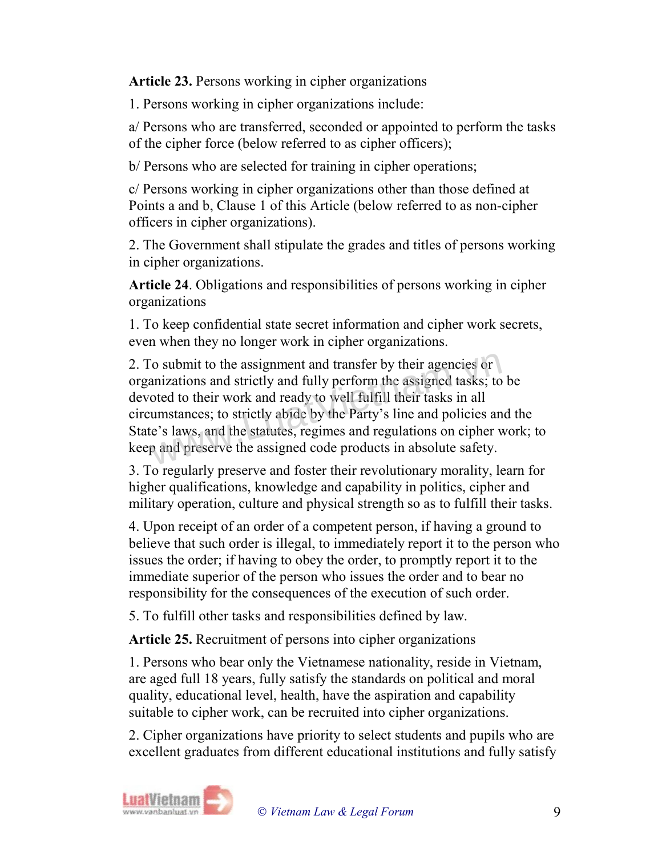Article 23. Persons working in cipher organizations

1. Persons working in cipher organizations include:

a/ Persons who are transferred, seconded or appointed to perform the tasks of the cipher force (below referred to as cipher officers);

b/ Persons who are selected for training in cipher operations;

c/ Persons working in cipher organizations other than those defined at Points a and b, Clause 1 of this Article (below referred to as non-cipher officers in cipher organizations).

2. The Government shall stipulate the grades and titles of persons working in cipher organizations.

Article 24. Obligations and responsibilities of persons working in cipher organizations

1. To keep confidential state secret information and cipher work secrets, even when they no longer work in cipher organizations.

2. To submit to the assignment and transfer by their agencies or organizations and strictly and fully perform the assigned tasks; to be devoted to their work and ready to well fulfill their tasks in all circumstances; to strictly abide by the Party's line and policies and the State's laws, and the statutes, regimes and regulations on cipher work; to keep and preserve the assigned code products in absolute safety. The submit to the assignment and transfer by their agencies or<br>anizations and strictly and fully perform the assigned tasks; to<br>oted to their work and ready to well fulfill their tasks in all<br>umstances; to strictly abide b

3. To regularly preserve and foster their revolutionary morality, learn for higher qualifications, knowledge and capability in politics, cipher and military operation, culture and physical strength so as to fulfill their tasks.

4. Upon receipt of an order of a competent person, if having a ground to believe that such order is illegal, to immediately report it to the person who issues the order; if having to obey the order, to promptly report it to the immediate superior of the person who issues the order and to bear no responsibility for the consequences of the execution of such order.

5. To fulfill other tasks and responsibilities defined by law.

Article 25. Recruitment of persons into cipher organizations

1. Persons who bear only the Vietnamese nationality, reside in Vietnam, are aged full 18 years, fully satisfy the standards on political and moral quality, educational level, health, have the aspiration and capability suitable to cipher work, can be recruited into cipher organizations.

2. Cipher organizations have priority to select students and pupils who are excellent graduates from different educational institutions and fully satisfy

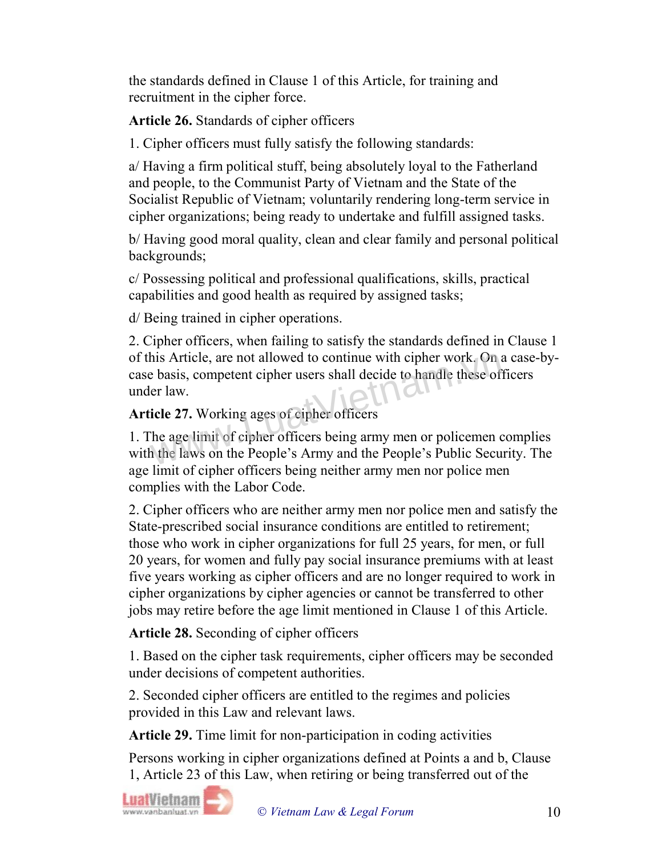the standards defined in Clause 1 of this Article, for training and recruitment in the cipher force.

Article 26. Standards of cipher officers

1. Cipher officers must fully satisfy the following standards:

a/ Having a firm political stuff, being absolutely loyal to the Fatherland and people, to the Communist Party of Vietnam and the State of the Socialist Republic of Vietnam; voluntarily rendering long-term service in cipher organizations; being ready to undertake and fulfill assigned tasks.

b/ Having good moral quality, clean and clear family and personal political backgrounds;

c/ Possessing political and professional qualifications, skills, practical capabilities and good health as required by assigned tasks;

d/ Being trained in cipher operations.

2. Cipher officers, when failing to satisfy the standards defined in Clause 1 of this Article, are not allowed to continue with cipher work. On a case-bycase basis, competent cipher users shall decide to handle these officers under law. his Article, are not allowed to continue with cipher work. On a<br>
e basis, competent cipher users shall decide to handle these of<br>
er law.<br> **icle 27.** Working ages of cipher officers<br>
The age limit of cipher officers being

## Article 27. Working ages of cipher officers

1. The age limit of cipher officers being army men or policemen complies with the laws on the People's Army and the People's Public Security. The age limit of cipher officers being neither army men nor police men complies with the Labor Code.

2. Cipher officers who are neither army men nor police men and satisfy the State-prescribed social insurance conditions are entitled to retirement; those who work in cipher organizations for full 25 years, for men, or full 20 years, for women and fully pay social insurance premiums with at least five years working as cipher officers and are no longer required to work in cipher organizations by cipher agencies or cannot be transferred to other jobs may retire before the age limit mentioned in Clause 1 of this Article.

Article 28. Seconding of cipher officers

1. Based on the cipher task requirements, cipher officers may be seconded under decisions of competent authorities.

2. Seconded cipher officers are entitled to the regimes and policies provided in this Law and relevant laws.

Article 29. Time limit for non-participation in coding activities

Persons working in cipher organizations defined at Points a and b, Clause 1, Article 23 of this Law, when retiring or being transferred out of the

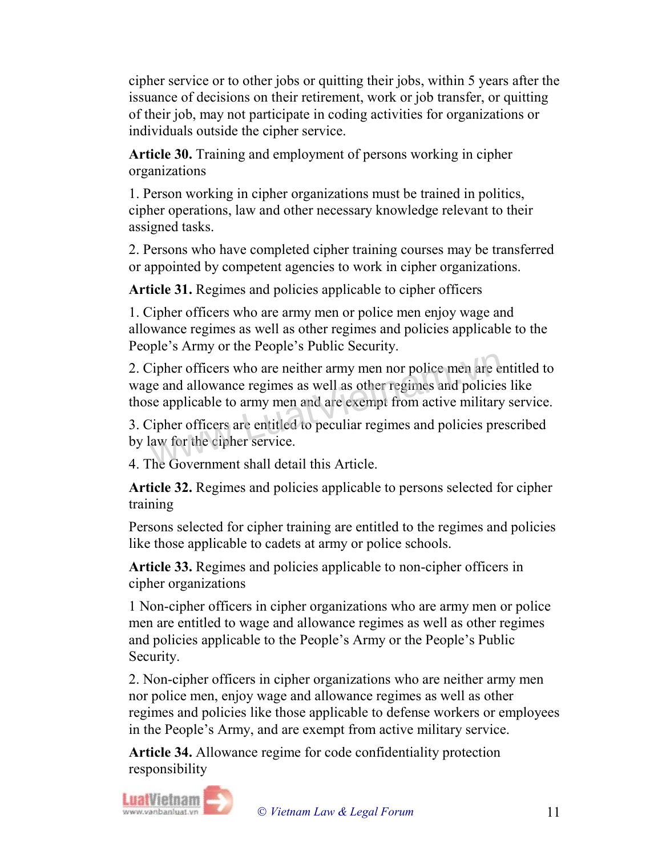cipher service or to other jobs or quitting their jobs, within 5 years after the issuance of decisions on their retirement, work or job transfer, or quitting of their job, may not participate in coding activities for organizations or individuals outside the cipher service.

Article 30. Training and employment of persons working in cipher organizations

1. Person working in cipher organizations must be trained in politics, cipher operations, law and other necessary knowledge relevant to their assigned tasks.

2. Persons who have completed cipher training courses may be transferred or appointed by competent agencies to work in cipher organizations.

Article 31. Regimes and policies applicable to cipher officers

1. Cipher officers who are army men or police men enjoy wage and allowance regimes as well as other regimes and policies applicable to the People's Army or the People's Public Security.

2. Cipher officers who are neither army men nor police men are entitled to wage and allowance regimes as well as other regimes and policies like those applicable to army men and are exempt from active military service. lipher officers who are neither army men nor police men are e<br>ge and allowance regimes as well as other regimes and policies<br>e applicable to army men and are exempt from active military<br>lipher officers are entitled to pecu

3. Cipher officers are entitled to peculiar regimes and policies prescribed by law for the cipher service.

4. The Government shall detail this Article.

Article 32. Regimes and policies applicable to persons selected for cipher training

Persons selected for cipher training are entitled to the regimes and policies like those applicable to cadets at army or police schools.

Article 33. Regimes and policies applicable to non-cipher officers in cipher organizations

1 Non-cipher officers in cipher organizations who are army men or police men are entitled to wage and allowance regimes as well as other regimes and policies applicable to the People's Army or the People's Public Security.

2. Non-cipher officers in cipher organizations who are neither army men nor police men, enjoy wage and allowance regimes as well as other regimes and policies like those applicable to defense workers or employees in the People's Army, and are exempt from active military service.

Article 34. Allowance regime for code confidentiality protection responsibility

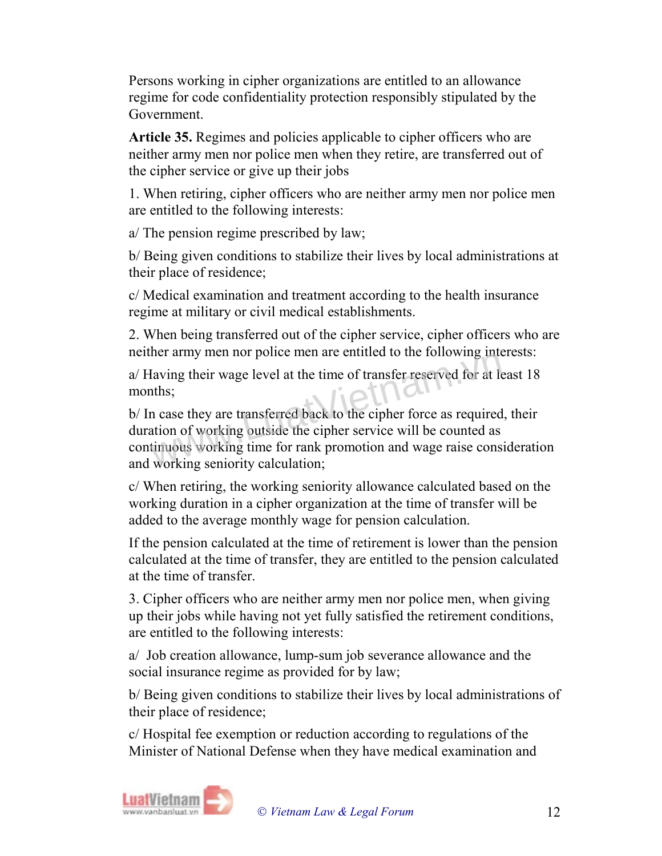Persons working in cipher organizations are entitled to an allowance regime for code confidentiality protection responsibly stipulated by the Government.

Article 35. Regimes and policies applicable to cipher officers who are neither army men nor police men when they retire, are transferred out of the cipher service or give up their jobs

1. When retiring, cipher officers who are neither army men nor police men are entitled to the following interests:

a/ The pension regime prescribed by law;

b/ Being given conditions to stabilize their lives by local administrations at their place of residence;

c/ Medical examination and treatment according to the health insurance regime at military or civil medical establishments.

2. When being transferred out of the cipher service, cipher officers who are neither army men nor police men are entitled to the following interests:

a/ Having their wage level at the time of transfer reserved for at least 18 months;

b/ In case they are transferred back to the cipher force as required, their duration of working outside the cipher service will be counted as continuous working time for rank promotion and wage raise consideration and working seniority calculation; The army first not ponce first are entitled to the following mea-<br>laving their wage level at the time of transfer reserved for at leads.<br>this,<br>a case they are transferred back to the cipher force as required<br>ation of worki

c/ When retiring, the working seniority allowance calculated based on the working duration in a cipher organization at the time of transfer will be added to the average monthly wage for pension calculation.

If the pension calculated at the time of retirement is lower than the pension calculated at the time of transfer, they are entitled to the pension calculated at the time of transfer.

3. Cipher officers who are neither army men nor police men, when giving up their jobs while having not yet fully satisfied the retirement conditions, are entitled to the following interests:

a/ Job creation allowance, lump-sum job severance allowance and the social insurance regime as provided for by law;

b/ Being given conditions to stabilize their lives by local administrations of their place of residence;

c/ Hospital fee exemption or reduction according to regulations of the Minister of National Defense when they have medical examination and